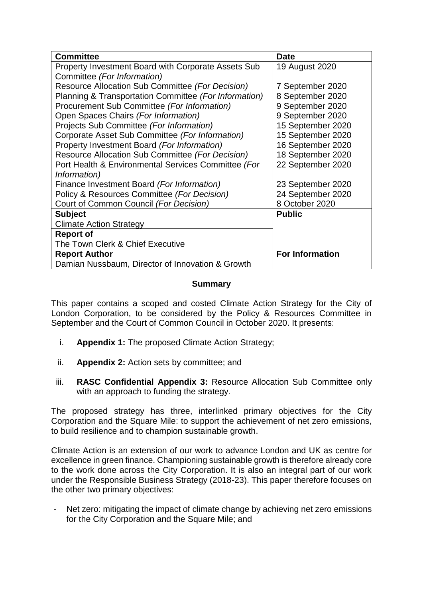| <b>Committee</b>                                      | <b>Date</b>            |
|-------------------------------------------------------|------------------------|
| Property Investment Board with Corporate Assets Sub   | 19 August 2020         |
| Committee (For Information)                           |                        |
| Resource Allocation Sub Committee (For Decision)      | 7 September 2020       |
| Planning & Transportation Committee (For Information) | 8 September 2020       |
| Procurement Sub Committee (For Information)           | 9 September 2020       |
| Open Spaces Chairs (For Information)                  | 9 September 2020       |
| Projects Sub Committee (For Information)              | 15 September 2020      |
| Corporate Asset Sub Committee (For Information)       | 15 September 2020      |
| Property Investment Board (For Information)           | 16 September 2020      |
| Resource Allocation Sub Committee (For Decision)      | 18 September 2020      |
| Port Health & Environmental Services Committee (For   | 22 September 2020      |
| Information)                                          |                        |
| Finance Investment Board (For Information)            | 23 September 2020      |
| Policy & Resources Committee (For Decision)           | 24 September 2020      |
| Court of Common Council (For Decision)                | 8 October 2020         |
| <b>Subject</b>                                        | <b>Public</b>          |
| <b>Climate Action Strategy</b>                        |                        |
| <b>Report of</b>                                      |                        |
| The Town Clerk & Chief Executive                      |                        |
| <b>Report Author</b>                                  | <b>For Information</b> |
| Damian Nussbaum, Director of Innovation & Growth      |                        |

# **Summary**

This paper contains a scoped and costed Climate Action Strategy for the City of London Corporation, to be considered by the Policy & Resources Committee in September and the Court of Common Council in October 2020. It presents:

- i. **Appendix 1:** The proposed Climate Action Strategy;
- ii. **Appendix 2:** Action sets by committee; and
- iii. **RASC Confidential Appendix 3:** Resource Allocation Sub Committee only with an approach to funding the strategy.

The proposed strategy has three, interlinked primary objectives for the City Corporation and the Square Mile: to support the achievement of net zero emissions, to build resilience and to champion sustainable growth.

Climate Action is an extension of our work to advance London and UK as centre for excellence in green finance. Championing sustainable growth is therefore already core to the work done across the City Corporation. It is also an integral part of our work under the Responsible Business Strategy (2018-23). This paper therefore focuses on the other two primary objectives:

Net zero: mitigating the impact of climate change by achieving net zero emissions for the City Corporation and the Square Mile; and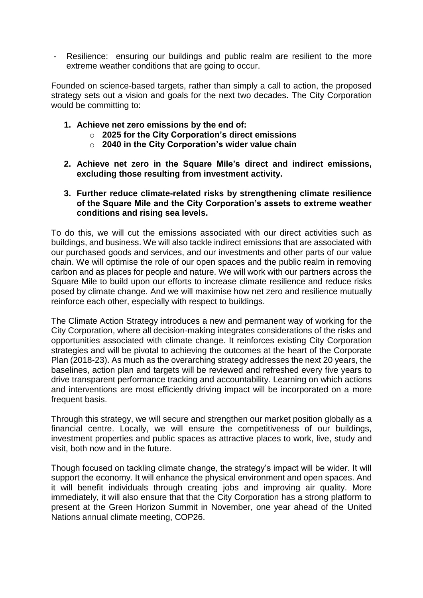Resilience: ensuring our buildings and public realm are resilient to the more extreme weather conditions that are going to occur.

Founded on science-based targets, rather than simply a call to action, the proposed strategy sets out a vision and goals for the next two decades. The City Corporation would be committing to:

- **1. Achieve net zero emissions by the end of:**
	- o **2025 for the City Corporation's direct emissions**
	- o **2040 in the City Corporation's wider value chain**
- **2. Achieve net zero in the Square Mile's direct and indirect emissions, excluding those resulting from investment activity.**
- **3. Further reduce climate-related risks by strengthening climate resilience of the Square Mile and the City Corporation's assets to extreme weather conditions and rising sea levels.**

To do this, we will cut the emissions associated with our direct activities such as buildings, and business. We will also tackle indirect emissions that are associated with our purchased goods and services, and our investments and other parts of our value chain. We will optimise the role of our open spaces and the public realm in removing carbon and as places for people and nature. We will work with our partners across the Square Mile to build upon our efforts to increase climate resilience and reduce risks posed by climate change. And we will maximise how net zero and resilience mutually reinforce each other, especially with respect to buildings.

The Climate Action Strategy introduces a new and permanent way of working for the City Corporation, where all decision-making integrates considerations of the risks and opportunities associated with climate change. It reinforces existing City Corporation strategies and will be pivotal to achieving the outcomes at the heart of the Corporate Plan (2018-23). As much as the overarching strategy addresses the next 20 years, the baselines, action plan and targets will be reviewed and refreshed every five years to drive transparent performance tracking and accountability. Learning on which actions and interventions are most efficiently driving impact will be incorporated on a more frequent basis.

Through this strategy, we will secure and strengthen our market position globally as a financial centre. Locally, we will ensure the competitiveness of our buildings, investment properties and public spaces as attractive places to work, live, study and visit, both now and in the future.

Though focused on tackling climate change, the strategy's impact will be wider. It will support the economy. It will enhance the physical environment and open spaces. And it will benefit individuals through creating jobs and improving air quality. More immediately, it will also ensure that that the City Corporation has a strong platform to present at the Green Horizon Summit in November, one year ahead of the United Nations annual climate meeting, COP26.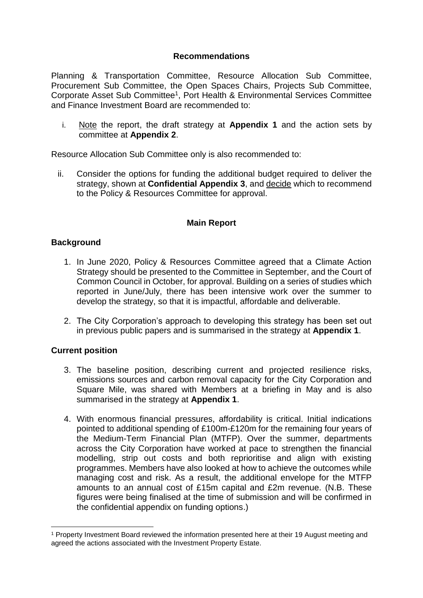## **Recommendations**

Planning & Transportation Committee, Resource Allocation Sub Committee, Procurement Sub Committee, the Open Spaces Chairs, Projects Sub Committee, Corporate Asset Sub Committee<sup>1</sup>, Port Health & Environmental Services Committee and Finance Investment Board are recommended to:

i. Note the report, the draft strategy at **Appendix 1** and the action sets by committee at **Appendix 2**.

Resource Allocation Sub Committee only is also recommended to:

ii. Consider the options for funding the additional budget required to deliver the strategy, shown at **Confidential Appendix 3**, and decide which to recommend to the Policy & Resources Committee for approval.

# **Main Report**

### **Background**

- 1. In June 2020, Policy & Resources Committee agreed that a Climate Action Strategy should be presented to the Committee in September, and the Court of Common Council in October, for approval. Building on a series of studies which reported in June/July, there has been intensive work over the summer to develop the strategy, so that it is impactful, affordable and deliverable.
- 2. The City Corporation's approach to developing this strategy has been set out in previous public papers and is summarised in the strategy at **Appendix 1**.

### **Current position**

<u>.</u>

- 3. The baseline position, describing current and projected resilience risks, emissions sources and carbon removal capacity for the City Corporation and Square Mile, was shared with Members at a briefing in May and is also summarised in the strategy at **Appendix 1**.
- 4. With enormous financial pressures, affordability is critical. Initial indications pointed to additional spending of £100m-£120m for the remaining four years of the Medium-Term Financial Plan (MTFP). Over the summer, departments across the City Corporation have worked at pace to strengthen the financial modelling, strip out costs and both reprioritise and align with existing programmes. Members have also looked at how to achieve the outcomes while managing cost and risk. As a result, the additional envelope for the MTFP amounts to an annual cost of £15m capital and £2m revenue. (N.B. These figures were being finalised at the time of submission and will be confirmed in the confidential appendix on funding options.)

<sup>1</sup> Property Investment Board reviewed the information presented here at their 19 August meeting and agreed the actions associated with the Investment Property Estate.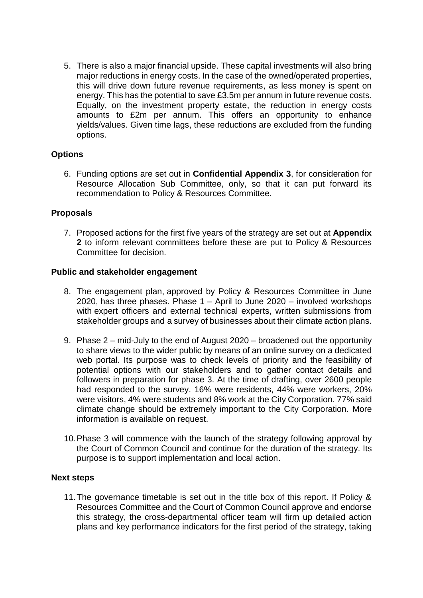5. There is also a major financial upside. These capital investments will also bring major reductions in energy costs. In the case of the owned/operated properties, this will drive down future revenue requirements, as less money is spent on energy. This has the potential to save £3.5m per annum in future revenue costs. Equally, on the investment property estate, the reduction in energy costs amounts to £2m per annum. This offers an opportunity to enhance yields/values. Given time lags, these reductions are excluded from the funding options.

# **Options**

6. Funding options are set out in **Confidential Appendix 3**, for consideration for Resource Allocation Sub Committee, only, so that it can put forward its recommendation to Policy & Resources Committee.

### **Proposals**

7. Proposed actions for the first five years of the strategy are set out at **Appendix 2** to inform relevant committees before these are put to Policy & Resources Committee for decision.

### **Public and stakeholder engagement**

- 8. The engagement plan, approved by Policy & Resources Committee in June 2020, has three phases. Phase 1 – April to June 2020 – involved workshops with expert officers and external technical experts, written submissions from stakeholder groups and a survey of businesses about their climate action plans.
- 9. Phase 2 mid-July to the end of August 2020 broadened out the opportunity to share views to the wider public by means of an online survey on a dedicated web portal. Its purpose was to check levels of priority and the feasibility of potential options with our stakeholders and to gather contact details and followers in preparation for phase 3. At the time of drafting, over 2600 people had responded to the survey. 16% were residents, 44% were workers, 20% were visitors, 4% were students and 8% work at the City Corporation. 77% said climate change should be extremely important to the City Corporation. More information is available on request.
- 10.Phase 3 will commence with the launch of the strategy following approval by the Court of Common Council and continue for the duration of the strategy. Its purpose is to support implementation and local action.

#### **Next steps**

11.The governance timetable is set out in the title box of this report. If Policy & Resources Committee and the Court of Common Council approve and endorse this strategy, the cross-departmental officer team will firm up detailed action plans and key performance indicators for the first period of the strategy, taking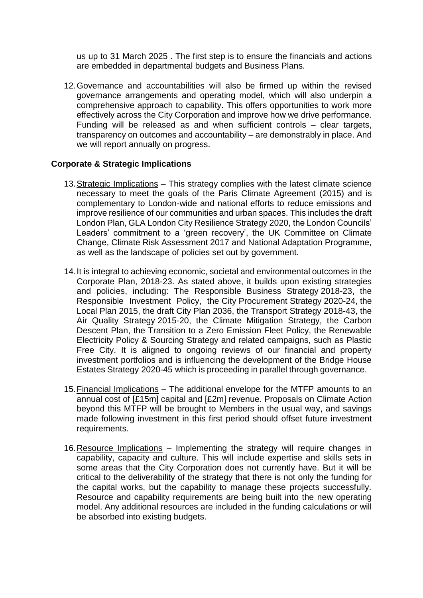us up to 31 March 2025 . The first step is to ensure the financials and actions are embedded in departmental budgets and Business Plans.

12.Governance and accountabilities will also be firmed up within the revised governance arrangements and operating model, which will also underpin a comprehensive approach to capability. This offers opportunities to work more effectively across the City Corporation and improve how we drive performance. Funding will be released as and when sufficient controls – clear targets, transparency on outcomes and accountability – are demonstrably in place. And we will report annually on progress.

# **Corporate & Strategic Implications**

- 13.Strategic Implications This strategy complies with the latest climate science necessary to meet the goals of the Paris Climate Agreement (2015) and is complementary to London-wide and national efforts to reduce emissions and improve resilience of our communities and urban spaces. This includes the draft London Plan, GLA London City Resilience Strategy 2020, the London Councils' Leaders' commitment to a 'green recovery', the UK Committee on Climate Change, Climate Risk Assessment 2017 and National Adaptation Programme, as well as the landscape of policies set out by government.
- 14.It is integral to achieving economic, societal and environmental outcomes in the Corporate Plan, 2018-23. As stated above, it builds upon existing strategies and policies, including: The Responsible Business Strategy 2018-23, the Responsible Investment Policy, the City Procurement Strategy 2020-24, the Local Plan 2015, the draft City Plan 2036, the Transport Strategy 2018-43, the Air Quality Strategy 2015-20, the Climate Mitigation Strategy, the Carbon Descent Plan, the Transition to a Zero Emission Fleet Policy, the Renewable Electricity Policy & Sourcing Strategy and related campaigns, such as Plastic Free City. It is aligned to ongoing reviews of our financial and property investment portfolios and is influencing the development of the Bridge House Estates Strategy 2020-45 which is proceeding in parallel through governance.
- 15.Financial Implications The additional envelope for the MTFP amounts to an annual cost of [£15m] capital and [£2m] revenue. Proposals on Climate Action beyond this MTFP will be brought to Members in the usual way, and savings made following investment in this first period should offset future investment requirements.
- 16.Resource Implications Implementing the strategy will require changes in capability, capacity and culture. This will include expertise and skills sets in some areas that the City Corporation does not currently have. But it will be critical to the deliverability of the strategy that there is not only the funding for the capital works, but the capability to manage these projects successfully. Resource and capability requirements are being built into the new operating model. Any additional resources are included in the funding calculations or will be absorbed into existing budgets.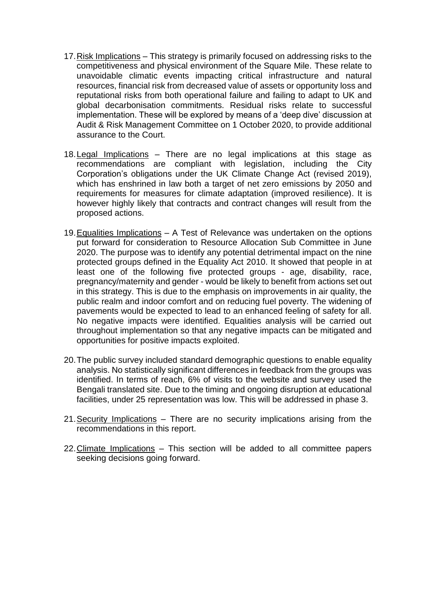- 17.Risk Implications This strategy is primarily focused on addressing risks to the competitiveness and physical environment of the Square Mile. These relate to unavoidable climatic events impacting critical infrastructure and natural resources, financial risk from decreased value of assets or opportunity loss and reputational risks from both operational failure and failing to adapt to UK and global decarbonisation commitments. Residual risks relate to successful implementation. These will be explored by means of a 'deep dive' discussion at Audit & Risk Management Committee on 1 October 2020, to provide additional assurance to the Court.
- 18.Legal Implications There are no legal implications at this stage as recommendations are compliant with legislation, including the City Corporation's obligations under the UK Climate Change Act (revised 2019), which has enshrined in law both a target of net zero emissions by 2050 and requirements for measures for climate adaptation (improved resilience). It is however highly likely that contracts and contract changes will result from the proposed actions.
- 19.Equalities Implications A Test of Relevance was undertaken on the options put forward for consideration to Resource Allocation Sub Committee in June 2020. The purpose was to identify any potential detrimental impact on the nine protected groups defined in the Equality Act 2010. It showed that people in at least one of the following five protected groups - age, disability, race, pregnancy/maternity and gender - would be likely to benefit from actions set out in this strategy. This is due to the emphasis on improvements in air quality, the public realm and indoor comfort and on reducing fuel poverty. The widening of pavements would be expected to lead to an enhanced feeling of safety for all. No negative impacts were identified. Equalities analysis will be carried out throughout implementation so that any negative impacts can be mitigated and opportunities for positive impacts exploited.
- 20.The public survey included standard demographic questions to enable equality analysis. No statistically significant differences in feedback from the groups was identified. In terms of reach, 6% of visits to the website and survey used the Bengali translated site. Due to the timing and ongoing disruption at educational facilities, under 25 representation was low. This will be addressed in phase 3.
- 21.Security Implications There are no security implications arising from the recommendations in this report.
- 22.Climate Implications This section will be added to all committee papers seeking decisions going forward.